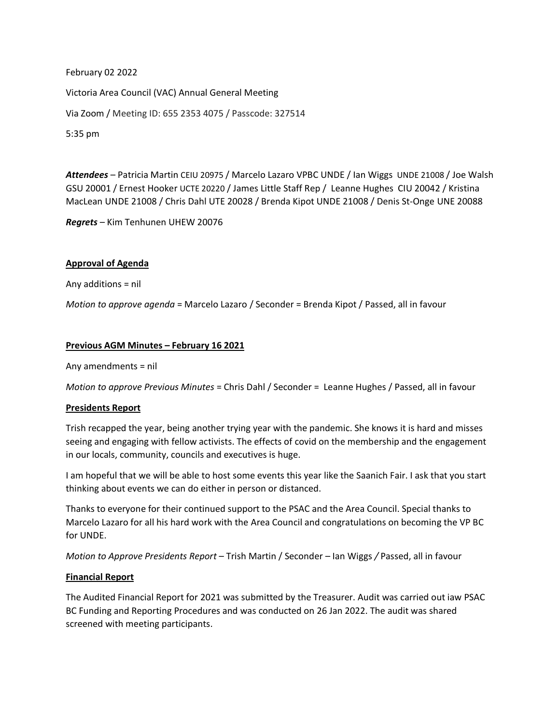February 02 2022 Victoria Area Council (VAC) Annual General Meeting Via Zoom / Meeting ID: 655 2353 4075 / Passcode: 327514 5:35 pm

*Attendees* – Patricia Martin CEIU 20975 / Marcelo Lazaro VPBC UNDE / Ian Wiggs UNDE 21008 / Joe Walsh GSU 20001 / Ernest Hooker UCTE 20220 / James Little Staff Rep / Leanne Hughes CIU 20042 / Kristina MacLean UNDE 21008 / Chris Dahl UTE 20028 / Brenda Kipot UNDE 21008 / Denis St-Onge UNE 20088

*Regrets* – Kim Tenhunen UHEW 20076

# **Approval of Agenda**

Any additions = nil

*Motion to approve agenda* = Marcelo Lazaro / Seconder = Brenda Kipot / Passed, all in favour

## **Previous AGM Minutes – February 16 2021**

Any amendments = nil

*Motion to approve Previous Minutes* = Chris Dahl / Seconder = Leanne Hughes / Passed, all in favour

## **Presidents Report**

Trish recapped the year, being another trying year with the pandemic. She knows it is hard and misses seeing and engaging with fellow activists. The effects of covid on the membership and the engagement in our locals, community, councils and executives is huge.

I am hopeful that we will be able to host some events this year like the Saanich Fair. I ask that you start thinking about events we can do either in person or distanced.

Thanks to everyone for their continued support to the PSAC and the Area Council. Special thanks to Marcelo Lazaro for all his hard work with the Area Council and congratulations on becoming the VP BC for UNDE.

*Motion to Approve Presidents Report –* Trish Martin / Seconder – Ian Wiggs */* Passed, all in favour

## **Financial Report**

The Audited Financial Report for 2021 was submitted by the Treasurer. Audit was carried out iaw PSAC BC Funding and Reporting Procedures and was conducted on 26 Jan 2022. The audit was shared screened with meeting participants.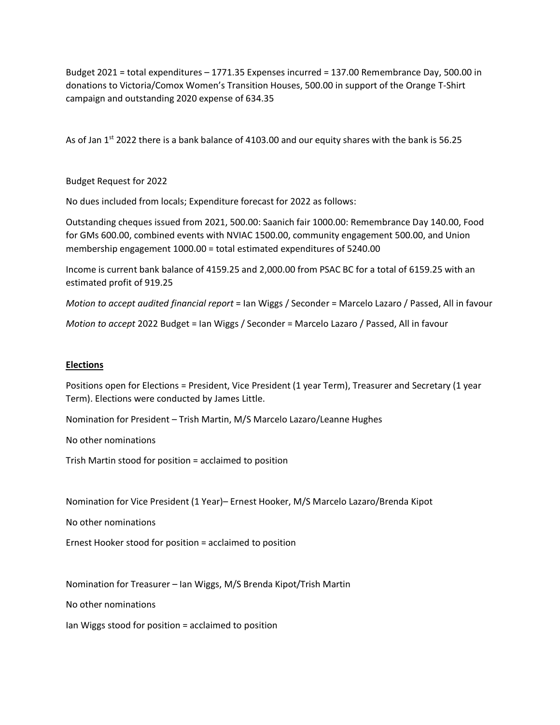Budget 2021 = total expenditures – 1771.35 Expenses incurred = 137.00 Remembrance Day, 500.00 in donations to Victoria/Comox Women's Transition Houses, 500.00 in support of the Orange T-Shirt campaign and outstanding 2020 expense of 634.35

As of Jan 1<sup>st</sup> 2022 there is a bank balance of 4103.00 and our equity shares with the bank is 56.25

Budget Request for 2022

No dues included from locals; Expenditure forecast for 2022 as follows:

Outstanding cheques issued from 2021, 500.00: Saanich fair 1000.00: Remembrance Day 140.00, Food for GMs 600.00, combined events with NVIAC 1500.00, community engagement 500.00, and Union membership engagement 1000.00 = total estimated expenditures of 5240.00

Income is current bank balance of 4159.25 and 2,000.00 from PSAC BC for a total of 6159.25 with an estimated profit of 919.25

*Motion to accept audited financial report* = Ian Wiggs / Seconder = Marcelo Lazaro / Passed, All in favour

*Motion to accept* 2022 Budget = Ian Wiggs / Seconder = Marcelo Lazaro / Passed, All in favour

## **Elections**

Positions open for Elections = President, Vice President (1 year Term), Treasurer and Secretary (1 year Term). Elections were conducted by James Little.

Nomination for President – Trish Martin, M/S Marcelo Lazaro/Leanne Hughes

No other nominations

Trish Martin stood for position = acclaimed to position

Nomination for Vice President (1 Year)– Ernest Hooker, M/S Marcelo Lazaro/Brenda Kipot

No other nominations

Ernest Hooker stood for position = acclaimed to position

Nomination for Treasurer – Ian Wiggs, M/S Brenda Kipot/Trish Martin

No other nominations

Ian Wiggs stood for position = acclaimed to position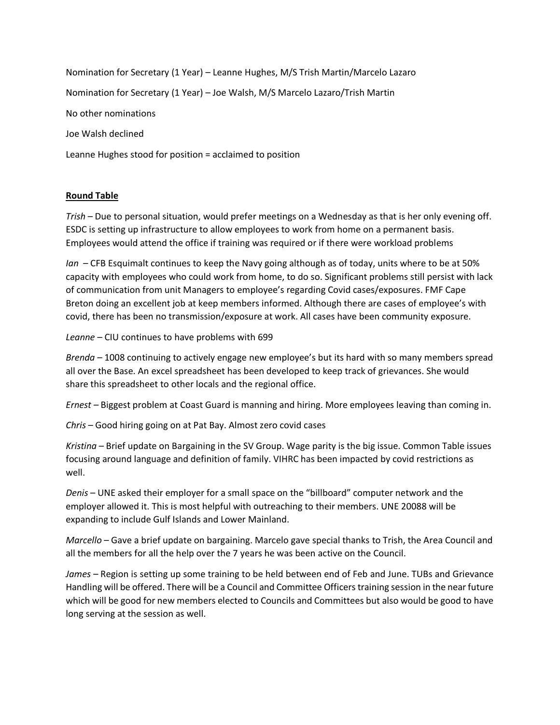Nomination for Secretary (1 Year) – Leanne Hughes, M/S Trish Martin/Marcelo Lazaro Nomination for Secretary (1 Year) – Joe Walsh, M/S Marcelo Lazaro/Trish Martin No other nominations Joe Walsh declined Leanne Hughes stood for position = acclaimed to position

# **Round Table**

*Trish* – Due to personal situation, would prefer meetings on a Wednesday as that is her only evening off. ESDC is setting up infrastructure to allow employees to work from home on a permanent basis. Employees would attend the office if training was required or if there were workload problems

*Ian* – CFB Esquimalt continues to keep the Navy going although as of today, units where to be at 50% capacity with employees who could work from home, to do so. Significant problems still persist with lack of communication from unit Managers to employee's regarding Covid cases/exposures. FMF Cape Breton doing an excellent job at keep members informed. Although there are cases of employee's with covid, there has been no transmission/exposure at work. All cases have been community exposure.

*Leanne* – CIU continues to have problems with 699

*Brenda –* 1008 continuing to actively engage new employee's but its hard with so many members spread all over the Base. An excel spreadsheet has been developed to keep track of grievances. She would share this spreadsheet to other locals and the regional office.

*Ernest –* Biggest problem at Coast Guard is manning and hiring. More employees leaving than coming in.

*Chris* – Good hiring going on at Pat Bay. Almost zero covid cases

*Kristina* – Brief update on Bargaining in the SV Group. Wage parity is the big issue. Common Table issues focusing around language and definition of family. VIHRC has been impacted by covid restrictions as well.

*Denis* – UNE asked their employer for a small space on the "billboard" computer network and the employer allowed it. This is most helpful with outreaching to their members. UNE 20088 will be expanding to include Gulf Islands and Lower Mainland.

*Marcello* – Gave a brief update on bargaining. Marcelo gave special thanks to Trish, the Area Council and all the members for all the help over the 7 years he was been active on the Council.

*James –* Region is setting up some training to be held between end of Feb and June. TUBs and Grievance Handling will be offered. There will be a Council and Committee Officers training session in the near future which will be good for new members elected to Councils and Committees but also would be good to have long serving at the session as well.